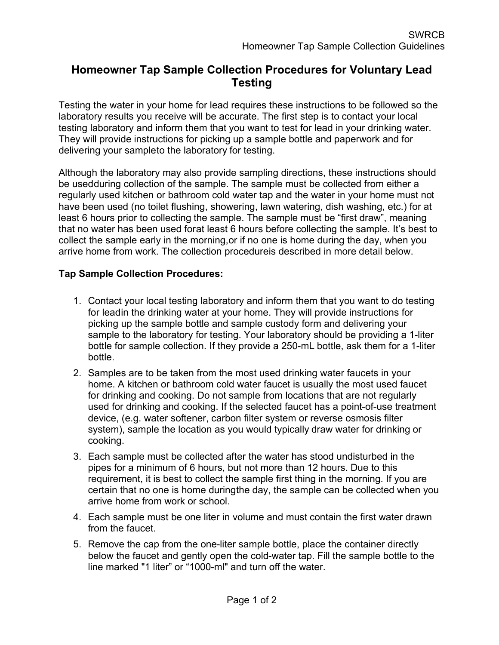## **Homeowner Tap Sample Collection Procedures for Voluntary Lead Testing**

Testing the water in your home for lead requires these instructions to be followed so the laboratory results you receive will be accurate. The first step is to contact your local testing laboratory and inform them that you want to test for lead in your drinking water. They will provide instructions for picking up a sample bottle and paperwork and for delivering your sampleto the laboratory for testing.

Although the laboratory may also provide sampling directions, these instructions should be usedduring collection of the sample. The sample must be collected from either a regularly used kitchen or bathroom cold water tap and the water in your home must not have been used (no toilet flushing, showering, lawn watering, dish washing, etc.) for at least 6 hours prior to collecting the sample. The sample must be "first draw", meaning that no water has been used forat least 6 hours before collecting the sample. It's best to collect the sample early in the morning,or if no one is home during the day, when you arrive home from work. The collection procedureis described in more detail below.

## **Tap Sample Collection Procedures:**

- 1. Contact your local testing laboratory and inform them that you want to do testing for leadin the drinking water at your home. They will provide instructions for picking up the sample bottle and sample custody form and delivering your sample to the laboratory for testing. Your laboratory should be providing a 1-liter bottle for sample collection. If they provide a 250-mL bottle, ask them for a 1-liter bottle.
- 2. Samples are to be taken from the most used drinking water faucets in your home. A kitchen or bathroom cold water faucet is usually the most used faucet for drinking and cooking. Do not sample from locations that are not regularly used for drinking and cooking. If the selected faucet has a point-of-use treatment device, (e.g. water softener, carbon filter system or reverse osmosis filter system), sample the location as you would typically draw water for drinking or cooking.
- 3. Each sample must be collected after the water has stood undisturbed in the pipes for a minimum of 6 hours, but not more than 12 hours. Due to this requirement, it is best to collect the sample first thing in the morning. If you are certain that no one is home duringthe day, the sample can be collected when you arrive home from work or school.
- 4. Each sample must be one liter in volume and must contain the first water drawn from the faucet.
- 5. Remove the cap from the one-liter sample bottle, place the container directly below the faucet and gently open the cold-water tap. Fill the sample bottle to the line marked "1 liter" or "1000-ml" and turn off the water.